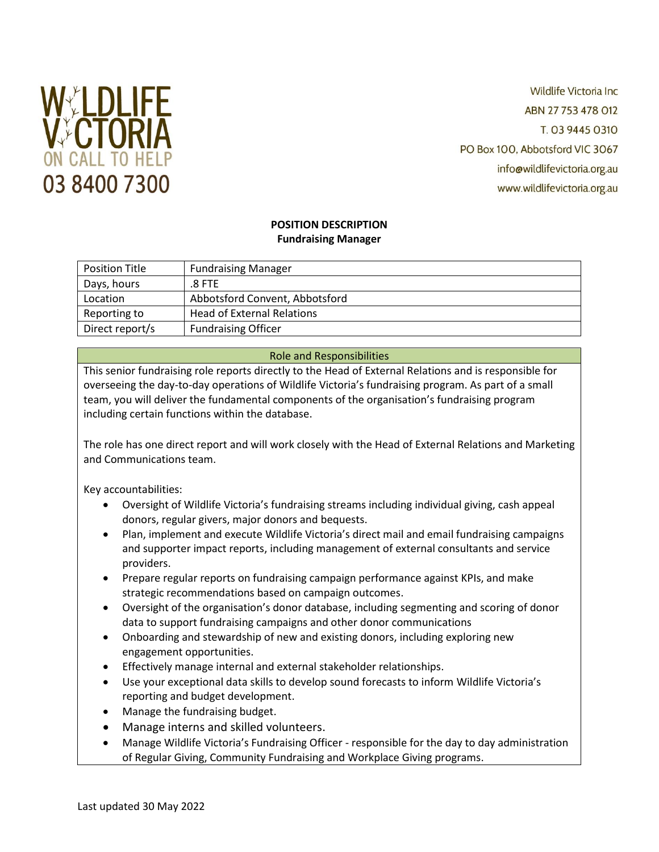

**Wildlife Victoria Inc.** ABN 27 753 478 012 T. 03 9445 0310 PO Box 100, Abbotsford VIC 3067 info@wildlifevictoria.org.au www.wildlifevictoria.org.au

## **POSITION DESCRIPTION Fundraising Manager**

| <b>Position Title</b> | <b>Fundraising Manager</b>        |
|-----------------------|-----------------------------------|
| Days, hours           | .8 FTE                            |
| Location              | Abbotsford Convent, Abbotsford    |
| Reporting to          | <b>Head of External Relations</b> |
| Direct report/s       | <b>Fundraising Officer</b>        |

# Role and Responsibilities

This senior fundraising role reports directly to the Head of External Relations and is responsible for overseeing the day-to-day operations of Wildlife Victoria's fundraising program. As part of a small team, you will deliver the fundamental components of the organisation's fundraising program including certain functions within the database.

The role has one direct report and will work closely with the Head of External Relations and Marketing and Communications team.

Key accountabilities:

- Oversight of Wildlife Victoria's fundraising streams including individual giving, cash appeal donors, regular givers, major donors and bequests.
- Plan, implement and execute Wildlife Victoria's direct mail and email fundraising campaigns and supporter impact reports, including management of external consultants and service providers.
- Prepare regular reports on fundraising campaign performance against KPIs, and make strategic recommendations based on campaign outcomes.
- Oversight of the organisation's donor database, including segmenting and scoring of donor data to support fundraising campaigns and other donor communications
- Onboarding and stewardship of new and existing donors, including exploring new engagement opportunities.
- Effectively manage internal and external stakeholder relationships.
- Use your exceptional data skills to develop sound forecasts to inform Wildlife Victoria's reporting and budget development.
- Manage the fundraising budget.
- Manage interns and skilled volunteers.
- Manage Wildlife Victoria's Fundraising Officer responsible for the day to day administration of Regular Giving, Community Fundraising and Workplace Giving programs.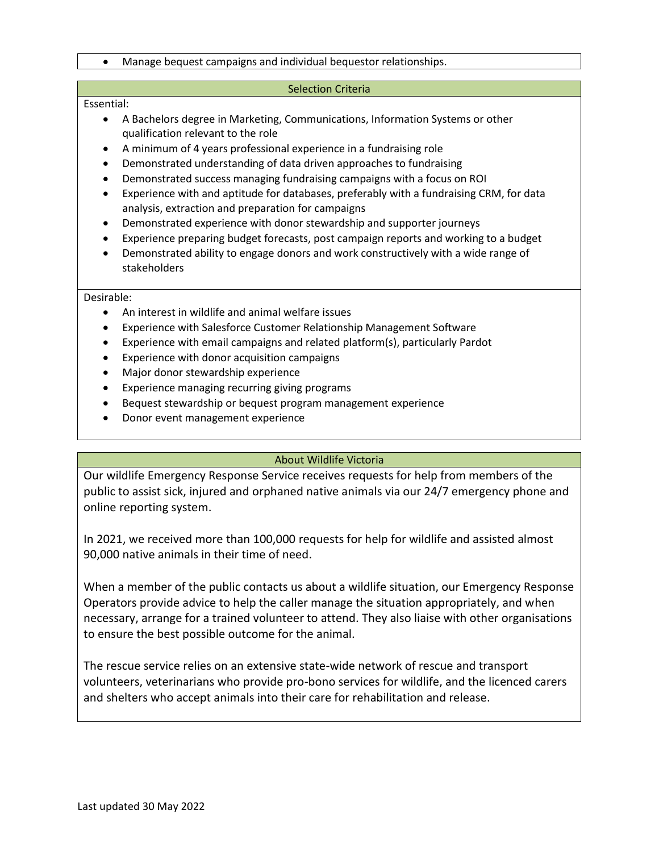### • Manage bequest campaigns and individual bequestor relationships.

#### Selection Criteria

### Essential:

- A Bachelors degree in Marketing, Communications, Information Systems or other qualification relevant to the role
- A minimum of 4 years professional experience in a fundraising role
- Demonstrated understanding of data driven approaches to fundraising
- Demonstrated success managing fundraising campaigns with a focus on ROI
- Experience with and aptitude for databases, preferably with a fundraising CRM, for data analysis, extraction and preparation for campaigns
- Demonstrated experience with donor stewardship and supporter journeys
- Experience preparing budget forecasts, post campaign reports and working to a budget
- Demonstrated ability to engage donors and work constructively with a wide range of stakeholders

#### Desirable:

- An interest in wildlife and animal welfare issues
- Experience with Salesforce Customer Relationship Management Software
- Experience with email campaigns and related platform(s), particularly Pardot
- Experience with donor acquisition campaigns
- Major donor stewardship experience
- Experience managing recurring giving programs
- Bequest stewardship or bequest program management experience
- Donor event management experience

## About Wildlife Victoria

Our wildlife Emergency Response Service receives requests for help from members of the public to assist sick, injured and orphaned native animals via our 24/7 emergency phone and online reporting system.

In 2021, we received more than 100,000 requests for help for wildlife and assisted almost 90,000 native animals in their time of need.

When a member of the public contacts us about a wildlife situation, our Emergency Response Operators provide advice to help the caller manage the situation appropriately, and when necessary, arrange for a trained volunteer to attend. They also liaise with other organisations to ensure the best possible outcome for the animal.

The rescue service relies on an extensive state-wide network of rescue and transport volunteers, veterinarians who provide pro-bono services for wildlife, and the licenced carers and shelters who accept animals into their care for rehabilitation and release.